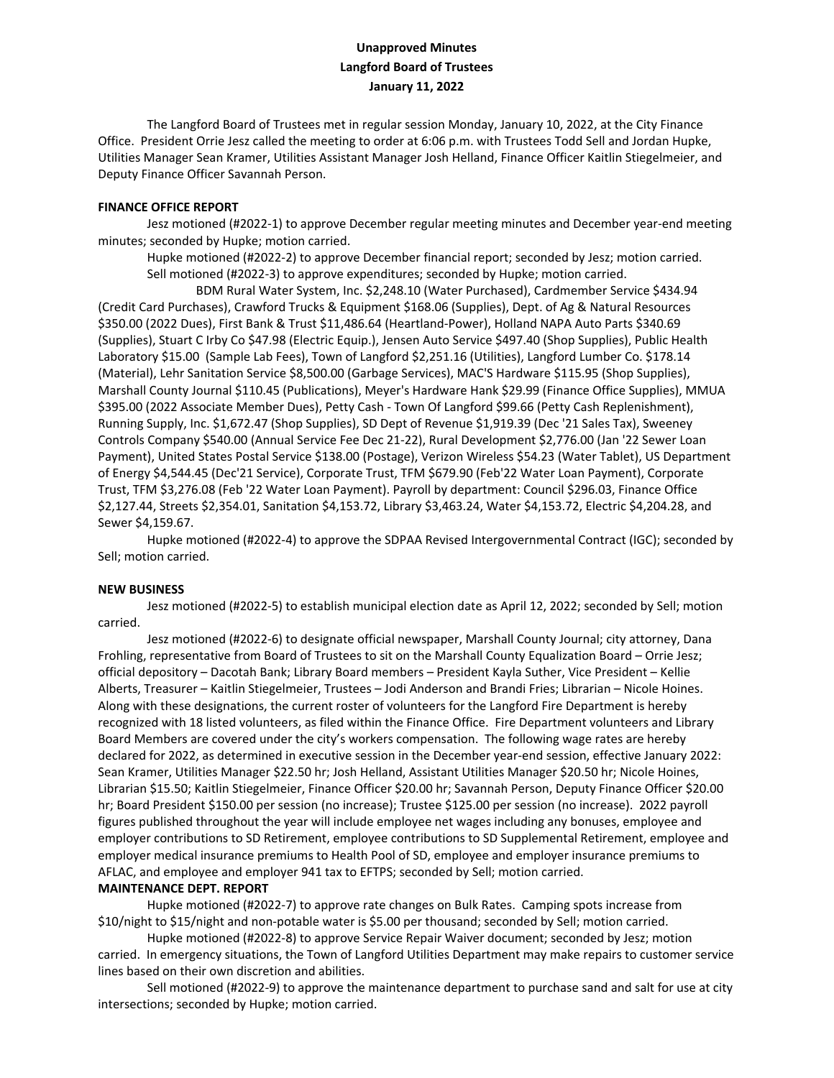# **Unapproved Minutes Langford Board of Trustees January 11, 2022**

The Langford Board of Trustees met in regular session Monday, January 10, 2022, at the City Finance Office. President Orrie Jesz called the meeting to order at 6:06 p.m. with Trustees Todd Sell and Jordan Hupke, Utilities Manager Sean Kramer, Utilities Assistant Manager Josh Helland, Finance Officer Kaitlin Stiegelmeier, and Deputy Finance Officer Savannah Person.

### **FINANCE OFFICE REPORT**

Jesz motioned (#2022-1) to approve December regular meeting minutes and December year-end meeting minutes; seconded by Hupke; motion carried.

Hupke motioned (#2022-2) to approve December financial report; seconded by Jesz; motion carried. Sell motioned (#2022-3) to approve expenditures; seconded by Hupke; motion carried.

BDM Rural Water System, Inc. \$2,248.10 (Water Purchased), Cardmember Service \$434.94 (Credit Card Purchases), Crawford Trucks & Equipment \$168.06 (Supplies), Dept. of Ag & Natural Resources \$350.00 (2022 Dues), First Bank & Trust \$11,486.64 (Heartland-Power), Holland NAPA Auto Parts \$340.69 (Supplies), Stuart C Irby Co \$47.98 (Electric Equip.), Jensen Auto Service \$497.40 (Shop Supplies), Public Health Laboratory \$15.00 (Sample Lab Fees), Town of Langford \$2,251.16 (Utilities), Langford Lumber Co. \$178.14 (Material), Lehr Sanitation Service \$8,500.00 (Garbage Services), MAC'S Hardware \$115.95 (Shop Supplies), Marshall County Journal \$110.45 (Publications), Meyer's Hardware Hank \$29.99 (Finance Office Supplies), MMUA \$395.00 (2022 Associate Member Dues), Petty Cash - Town Of Langford \$99.66 (Petty Cash Replenishment), Running Supply, Inc. \$1,672.47 (Shop Supplies), SD Dept of Revenue \$1,919.39 (Dec '21 Sales Tax), Sweeney Controls Company \$540.00 (Annual Service Fee Dec 21-22), Rural Development \$2,776.00 (Jan '22 Sewer Loan Payment), United States Postal Service \$138.00 (Postage), Verizon Wireless \$54.23 (Water Tablet), US Department of Energy \$4,544.45 (Dec'21 Service), Corporate Trust, TFM \$679.90 (Feb'22 Water Loan Payment), Corporate Trust, TFM \$3,276.08 (Feb '22 Water Loan Payment). Payroll by department: Council \$296.03, Finance Office \$2,127.44, Streets \$2,354.01, Sanitation \$4,153.72, Library \$3,463.24, Water \$4,153.72, Electric \$4,204.28, and Sewer \$4,159.67.

Hupke motioned (#2022-4) to approve the SDPAA Revised Intergovernmental Contract (IGC); seconded by Sell; motion carried.

### **NEW BUSINESS**

Jesz motioned (#2022-5) to establish municipal election date as April 12, 2022; seconded by Sell; motion carried.

Jesz motioned (#2022-6) to designate official newspaper, Marshall County Journal; city attorney, Dana Frohling, representative from Board of Trustees to sit on the Marshall County Equalization Board – Orrie Jesz; official depository – Dacotah Bank; Library Board members – President Kayla Suther, Vice President – Kellie Alberts, Treasurer – Kaitlin Stiegelmeier, Trustees – Jodi Anderson and Brandi Fries; Librarian – Nicole Hoines. Along with these designations, the current roster of volunteers for the Langford Fire Department is hereby recognized with 18 listed volunteers, as filed within the Finance Office. Fire Department volunteers and Library Board Members are covered under the city's workers compensation. The following wage rates are hereby declared for 2022, as determined in executive session in the December year-end session, effective January 2022: Sean Kramer, Utilities Manager \$22.50 hr; Josh Helland, Assistant Utilities Manager \$20.50 hr; Nicole Hoines, Librarian \$15.50; Kaitlin Stiegelmeier, Finance Officer \$20.00 hr; Savannah Person, Deputy Finance Officer \$20.00 hr; Board President \$150.00 per session (no increase); Trustee \$125.00 per session (no increase). 2022 payroll figures published throughout the year will include employee net wages including any bonuses, employee and employer contributions to SD Retirement, employee contributions to SD Supplemental Retirement, employee and employer medical insurance premiums to Health Pool of SD, employee and employer insurance premiums to AFLAC, and employee and employer 941 tax to EFTPS; seconded by Sell; motion carried.

## **MAINTENANCE DEPT. REPORT**

Hupke motioned (#2022-7) to approve rate changes on Bulk Rates. Camping spots increase from \$10/night to \$15/night and non-potable water is \$5.00 per thousand; seconded by Sell; motion carried.

Hupke motioned (#2022-8) to approve Service Repair Waiver document; seconded by Jesz; motion carried. In emergency situations, the Town of Langford Utilities Department may make repairs to customer service lines based on their own discretion and abilities.

Sell motioned (#2022-9) to approve the maintenance department to purchase sand and salt for use at city intersections; seconded by Hupke; motion carried.